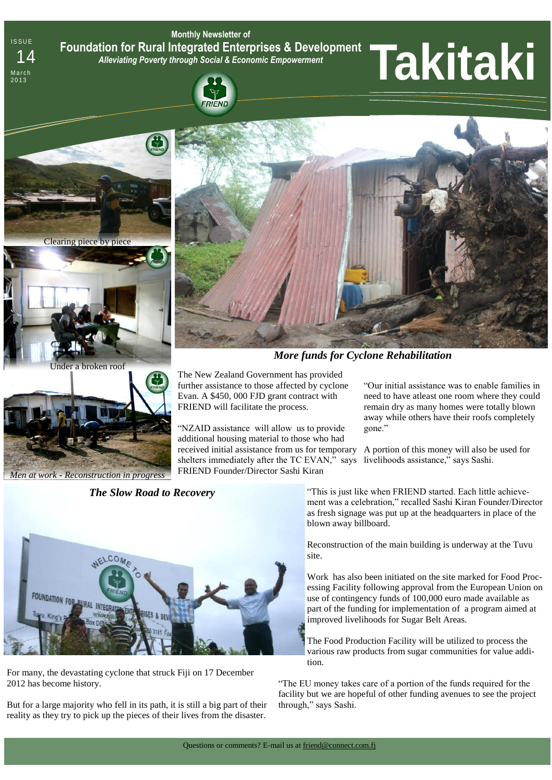**Monthly Newsletter of Foundation for Rural Integrated Enterprises & Development**  *Alleviating Poverty through Social & Economic Empowerment* Foundation for Rural Integrated Enterprises & Development<br>14 Alleviating Poverty through Social & Economic Empowerment<br>1990 **Parts Leap Report of Alleviating Poverty through Social & Economic Empowerment<br>1990 <b>Parts Leap R** 

# RIEND



**ISSUE** 

March<br>2013



Under a broken roof



*Men at work - Reconstruction in progress*

*The Slow Road to Recovery* 



For many, the devastating cyclone that struck Fiji on 17 December 2012 has become history.

But for a large majority who fell in its path, it is still a big part of their reality as they try to pick up the pieces of their lives from the disaster.



*More funds for Cyclone Rehabilitation*

The New Zealand Government has provided further assistance to those affected by cyclone Evan. A \$450, 000 FJD grant contract with FRIEND will facilitate the process.

"NZAID assistance will allow us to provide additional housing material to those who had received initial assistance from us for temporary A portion of this money will also be used for shelters immediately after the TC EVAN," says livelihoods assistance," says Sashi. FRIEND Founder/Director Sashi Kiran

"Our initial assistance was to enable families in need to have atleast one room where they could remain dry as many homes were totally blown away while others have their roofs completely gone."

"This is just like when FRIEND started. Each little achievement was a celebration," recalled Sashi Kiran Founder/Director as fresh signage was put up at the headquarters in place of the blown away billboard.

Reconstruction of the main building is underway at the Tuvu site.

Work has also been initiated on the site marked for Food Processing Facility following approval from the European Union on use of contingency funds of 100,000 euro made available as part of the funding for implementation of a program aimed at improved livelihoods for Sugar Belt Areas.

The Food Production Facility will be utilized to process the various raw products from sugar communities for value addition.

"The EU money takes care of a portion of the funds required for the facility but we are hopeful of other funding avenues to see the project through," says Sashi.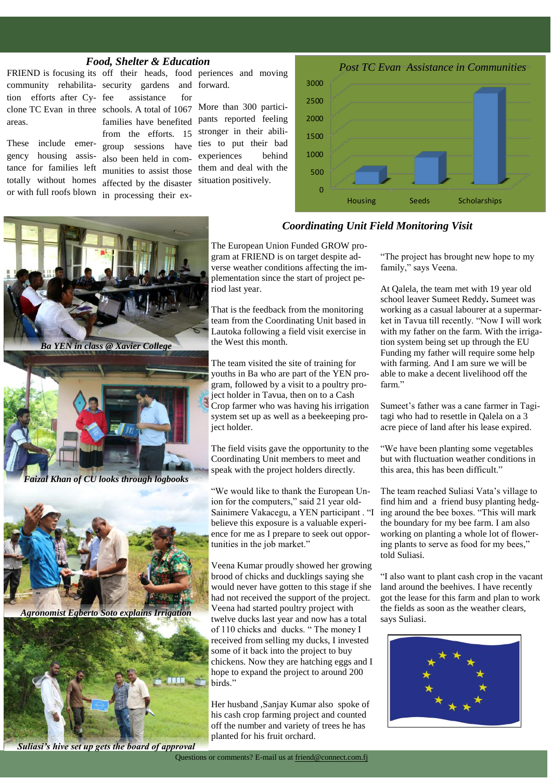### *Food, Shelter & Education*

tion efforts after Cyareas.

These include emergency housing assistance for families left totally without homes or with full roofs blown

community rehabilita-security gardens and forward. clone TC Evan in three schools. A total of 1067 assistance for families have benefited from the efforts. 15 group sessions have also been held in communities to assist those affected by the disaster in processing their ex-

FRIEND is focusing its off their heads, food periences and moving

More than 300 participants reported feeling stronger in their abilities to put their bad experiences behind them and deal with the situation positively.



## The European Union Funded GROW program at FRIEND is on target despite ad-*Coordinating Unit Field Monitoring Visit*

verse weather conditions affecting the implementation since the start of project period last year.

That is the feedback from the monitoring team from the Coordinating Unit based in Lautoka following a field visit exercise in the West this month.

The team visited the site of training for youths in Ba who are part of the YEN program, followed by a visit to a poultry project holder in Tavua, then on to a Cash Crop farmer who was having his irrigation system set up as well as a beekeeping project holder.

The field visits gave the opportunity to the Coordinating Unit members to meet and speak with the project holders directly.

"We would like to thank the European Union for the computers," said 21 year old-Sainimere Vakacegu, a YEN participant . "I believe this exposure is a valuable experience for me as I prepare to seek out opportunities in the job market."

Veena Kumar proudly showed her growing brood of chicks and ducklings saying she would never have gotten to this stage if she had not received the support of the project. Veena had started poultry project with twelve ducks last year and now has a total of 110 chicks and ducks. " The money I received from selling my ducks, I invested some of it back into the project to buy chickens. Now they are hatching eggs and I hope to expand the project to around 200 birds."

Her husband ,Sanjay Kumar also spoke of his cash crop farming project and counted off the number and variety of trees he has planted for his fruit orchard.

"The project has brought new hope to my family," says Veena.

At Qalela, the team met with 19 year old school leaver Sumeet Reddy**.** Sumeet was working as a casual labourer at a supermarket in Tavua till recently. "Now I will work with my father on the farm. With the irrigation system being set up through the EU Funding my father will require some help with farming. And I am sure we will be able to make a decent livelihood off the farm."

Sumeet's father was a cane farmer in Tagitagi who had to resettle in Qalela on a 3 acre piece of land after his lease expired.

"We have been planting some vegetables but with fluctuation weather conditions in this area, this has been difficult."

The team reached Suliasi Vata's village to find him and a friend busy planting hedging around the bee boxes. "This will mark the boundary for my bee farm. I am also working on planting a whole lot of flowering plants to serve as food for my bees," told Suliasi.

"I also want to plant cash crop in the vacant land around the beehives. I have recently got the lease for this farm and plan to work the fields as soon as the weather clears, says Suliasi.





*Suliasi's hive set up gets the board of approval*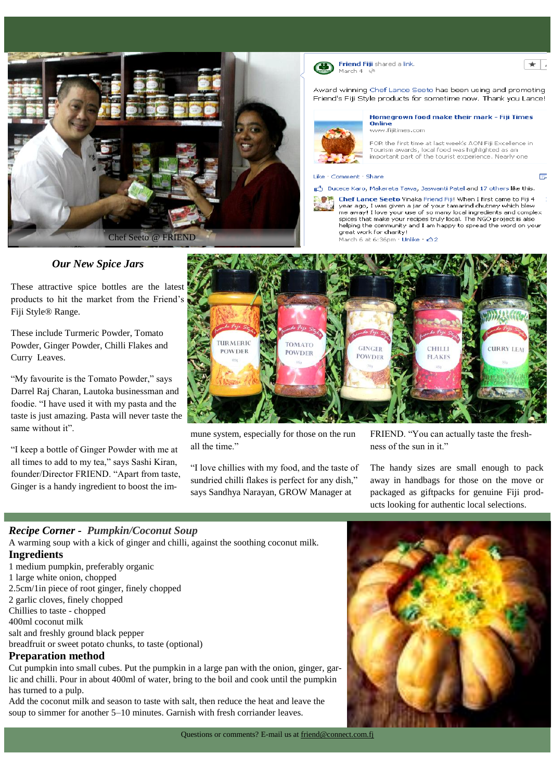

March 4

Friend Fiji shared a link

Award winning Chef Lance Seeto has been using and promoting Friend's Fiji Style products for sometime now. Thank you Lance!



Homegrown food make their mark - Fiji Times Online www.fijitimes.com

 $\mathbf{r}$ 

Ē.

FOR the first time at last week's AON Fiji Excellence in Tourism awards, local food was highlighted as an<br>important part of the tourist experience. Nearly one

#### Like Comment Share

#### Bucece Karo, Makereta Tawa, Jaswanti Patel and 17 others like this.



Chef Lance Seeto Vinaka Friend Fiji! When I first came to Fiji 4 year ago, I was given a jar of your tamarind chutney which blew me away! I love your use of so many local ingredients and complex spices that make your recipes truly local. The NGO project is also helping the community and I am happy to spread the word on your great work for charity!

March 6 at 6:36pm · Unlike · 232

## *Our New Spice Jars*

These attractive spice bottles are the latest products to hit the market from the Friend's Fiji Style® Range.

These include Turmeric Powder, Tomato Powder, Ginger Powder, Chilli Flakes and Curry Leaves.

"My favourite is the Tomato Powder," says Darrel Raj Charan, Lautoka businessman and foodie. "I have used it with my pasta and the taste is just amazing. Pasta will never taste the same without it".

"I keep a bottle of Ginger Powder with me at all times to add to my tea," says Sashi Kiran, founder/Director FRIEND. "Apart from taste, Ginger is a handy ingredient to boost the im-



mune system, especially for those on the run all the time."

"I love chillies with my food, and the taste of sundried chilli flakes is perfect for any dish," says Sandhya Narayan, GROW Manager at

FRIEND. "You can actually taste the freshness of the sun in it."

The handy sizes are small enough to pack away in handbags for those on the move or packaged as giftpacks for genuine Fiji products looking for authentic local selections.

## *Recipe Corner - Pumpkin/Coconut Soup*

A warming soup with a kick of ginger and chilli, against the soothing coconut milk.

## **Ingredients**

- 1 medium [pumpkin,](http://www.bbc.co.uk/food/pumpkin) preferably organic
- 1 large white onion, chopped
- 2.5cm/1in piece of root ginger, finely chopped
- 2 [garlic](http://www.bbc.co.uk/food/garlic) cloves, finely chopped
- Chillies to taste chopped
- 400ml [coconut milk](http://www.bbc.co.uk/food/coconut_milk)

salt and freshly ground black pepper

[breadfruit](http://www.bbc.co.uk/food/breadfruit) or sweet potato chunks, to taste (optional)

## **Preparation method**

Cut pumpkin into small cubes. Put the pumpkin in a large pan with the onion, ginger, garlic and chilli. Pour in about 400ml of water, bring to the boil and cook until the pumpkin has turned to a pulp.

Add the coconut milk and season to taste with salt, then reduce the heat and leave the soup to simmer for another 5–10 minutes. Garnish with fresh corriander leaves.